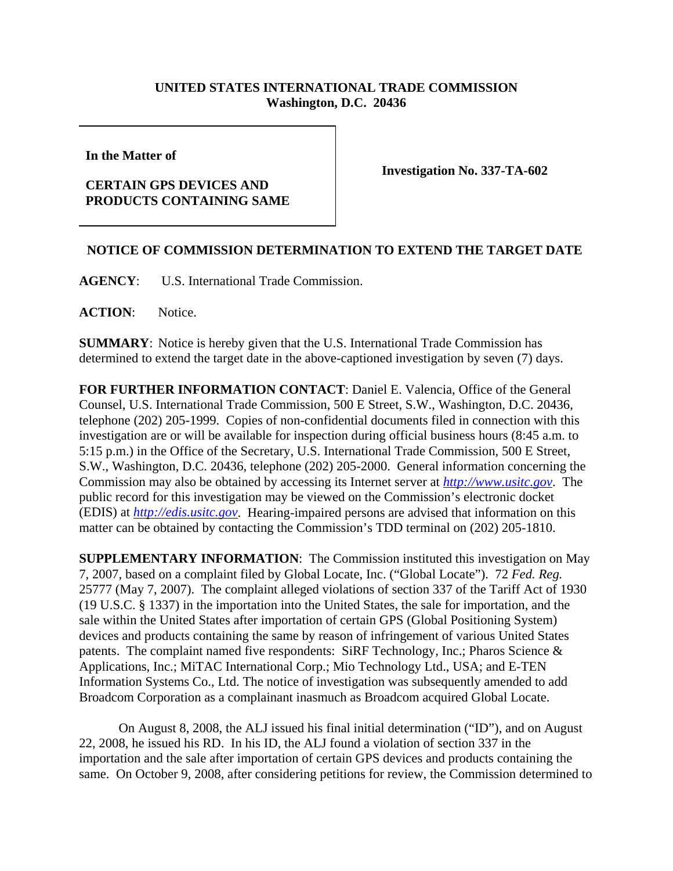## **UNITED STATES INTERNATIONAL TRADE COMMISSION Washington, D.C. 20436**

**In the Matter of** 

## **CERTAIN GPS DEVICES AND PRODUCTS CONTAINING SAME**

**Investigation No. 337-TA-602**

## **NOTICE OF COMMISSION DETERMINATION TO EXTEND THE TARGET DATE**

**AGENCY**: U.S. International Trade Commission.

**ACTION**: Notice.

**SUMMARY**: Notice is hereby given that the U.S. International Trade Commission has determined to extend the target date in the above-captioned investigation by seven (7) days.

**FOR FURTHER INFORMATION CONTACT**: Daniel E. Valencia, Office of the General Counsel, U.S. International Trade Commission, 500 E Street, S.W., Washington, D.C. 20436, telephone (202) 205-1999. Copies of non-confidential documents filed in connection with this investigation are or will be available for inspection during official business hours (8:45 a.m. to 5:15 p.m.) in the Office of the Secretary, U.S. International Trade Commission, 500 E Street, S.W., Washington, D.C. 20436, telephone (202) 205-2000. General information concerning the Commission may also be obtained by accessing its Internet server at *http://www.usitc.gov*. The public record for this investigation may be viewed on the Commission's electronic docket (EDIS) at *http://edis.usitc.gov*. Hearing-impaired persons are advised that information on this matter can be obtained by contacting the Commission's TDD terminal on (202) 205-1810.

**SUPPLEMENTARY INFORMATION**: The Commission instituted this investigation on May 7, 2007, based on a complaint filed by Global Locate, Inc. ("Global Locate"). 72 *Fed. Reg.* 25777 (May 7, 2007). The complaint alleged violations of section 337 of the Tariff Act of 1930 (19 U.S.C. § 1337) in the importation into the United States, the sale for importation, and the sale within the United States after importation of certain GPS (Global Positioning System) devices and products containing the same by reason of infringement of various United States patents. The complaint named five respondents: SiRF Technology, Inc.; Pharos Science & Applications, Inc.; MiTAC International Corp.; Mio Technology Ltd., USA; and E-TEN Information Systems Co., Ltd. The notice of investigation was subsequently amended to add Broadcom Corporation as a complainant inasmuch as Broadcom acquired Global Locate.

On August 8, 2008, the ALJ issued his final initial determination ("ID"), and on August 22, 2008, he issued his RD. In his ID, the ALJ found a violation of section 337 in the importation and the sale after importation of certain GPS devices and products containing the same. On October 9, 2008, after considering petitions for review, the Commission determined to